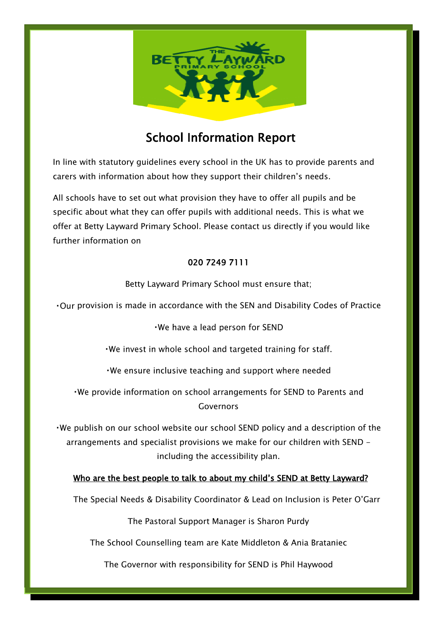

# School Information Report

In line with statutory guidelines every school in the UK has to provide parents and carers with information about how they support their children's needs.

All schools have to set out what provision they have to offer all pupils and be specific about what they can offer pupils with additional needs. This is what we offer at Betty Layward Primary School. Please contact us directly if you would like further information on

# 020 7249 7111

Betty Layward Primary School must ensure that;

• Our provision is made in accordance with the SEN and Disability Codes of Practice

. We have a lead person for SEND

. We invest in whole school and targeted training for staff.

. We ensure inclusive teaching and support where needed

. We provide information on school arrangements for SEND to Parents and Governors

 $\cdot$ We publish on our school website our school SEND policy and a description of the arrangements and specialist provisions we make for our children with SEND including the accessibility plan.

# Who are the best people to talk to about my child's SEND at Betty Layward?

The Special Needs & Disability Coordinator & Lead on Inclusion is Peter O'Garr

The Pastoral Support Manager is Sharon Purdy

The School Counselling team are Kate Middleton & Ania Brataniec

The Governor with responsibility for SEND is Phil Haywood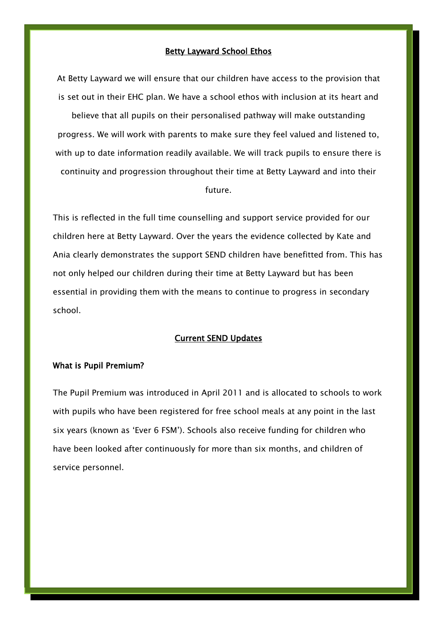#### Betty Layward School Ethos

At Betty Layward we will ensure that our children have access to the provision that is set out in their EHC plan. We have a school ethos with inclusion at its heart and believe that all pupils on their personalised pathway will make outstanding progress. We will work with parents to make sure they feel valued and listened to, with up to date information readily available. We will track pupils to ensure there is continuity and progression throughout their time at Betty Layward and into their future.

This is reflected in the full time counselling and support service provided for our children here at Betty Layward. Over the years the evidence collected by Kate and Ania clearly demonstrates the support SEND children have benefitted from. This has not only helped our children during their time at Betty Layward but has been essential in providing them with the means to continue to progress in secondary school.

#### Current SEND Updates

#### What is Pupil Premium?

í

The Pupil Premium was introduced in April 2011 and is allocated to schools to work with pupils who have been registered for free school meals at any point in the last six years (known as 'Ever 6 FSM'). Schools also receive funding for children who have been looked after continuously for more than six months, and children of service personnel.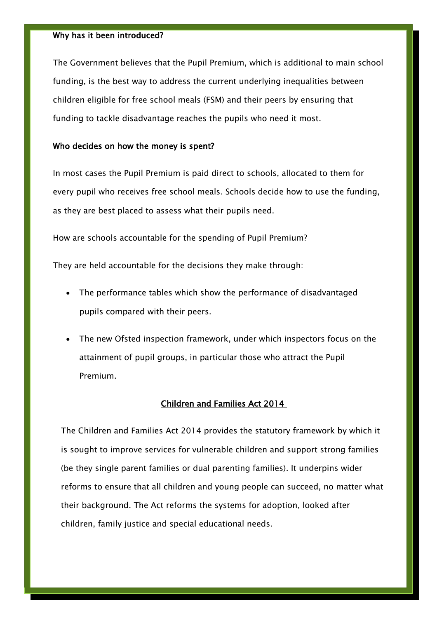#### Why has it been introduced?

The Government believes that the Pupil Premium, which is additional to main school funding, is the best way to address the current underlying inequalities between children eligible for free school meals (FSM) and their peers by ensuring that funding to tackle disadvantage reaches the pupils who need it most.

#### Who decides on how the money is spent?

In most cases the Pupil Premium is paid direct to schools, allocated to them for every pupil who receives free school meals. Schools decide how to use the funding, as they are best placed to assess what their pupils need.

How are schools accountable for the spending of Pupil Premium?

They are held accountable for the decisions they make through:

- The performance tables which show the performance of disadvantaged pupils compared with their peers.
- The new Ofsted inspection framework, under which inspectors focus on the attainment of pupil groups, in particular those who attract the Pupil Premium.

#### Children and Families Act 2014

The Children and Families Act 2014 provides the statutory framework by which it is sought to improve services for vulnerable children and support strong families (be they single parent families or dual parenting families). It underpins wider reforms to ensure that all children and young people can succeed, no matter what their background. The Act reforms the systems for adoption, looked after children, family justice and special educational needs.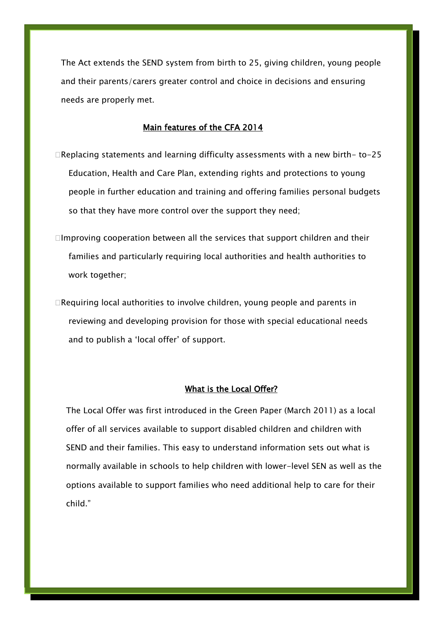The Act extends the SEND system from birth to 25, giving children, young people and their parents/carers greater control and choice in decisions and ensuring needs are properly met.

# Main features of the CFA 2014

- Replacing statements and learning difficulty assessments with a new birth- to-25 Education, Health and Care Plan, extending rights and protections to young people in further education and training and offering families personal budgets so that they have more control over the support they need;
- $\Box$ Improving cooperation between all the services that support children and their families and particularly requiring local authorities and health authorities to work together;
- Requiring local authorities to involve children, young people and parents in reviewing and developing provision for those with special educational needs and to publish a 'local offer' of support.

#### What is the Local Offer?

The Local Offer was first introduced in the Green Paper (March 2011) as a local offer of all services available to support disabled children and children with SEND and their families. This easy to understand information sets out what is normally available in schools to help children with lower-level SEN as well as the options available to support families who need additional help to care for their child."

í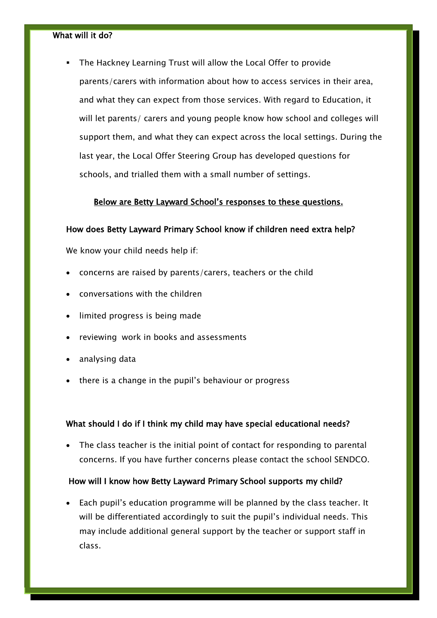# What will it do?

 The Hackney Learning Trust will allow the Local Offer to provide parents/carers with information about how to access services in their area, and what they can expect from those services. With regard to Education, it will let parents/ carers and young people know how school and colleges will support them, and what they can expect across the local settings. During the last year, the Local Offer Steering Group has developed questions for schools, and trialled them with a small number of settings.

### Below are Betty Layward School's responses to these questions.

#### How does Betty Layward Primary School know if children need extra help?

We know your child needs help if:

- concerns are raised by parents/carers, teachers or the child
- conversations with the children
- limited progress is being made
- reviewing work in books and assessments
- analysing data
- there is a change in the pupil's behaviour or progress

#### What should I do if I think my child may have special educational needs?

• The class teacher is the initial point of contact for responding to parental concerns. If you have further concerns please contact the school SENDCO.

### How will I know how Betty Layward Primary School supports my child?

 Each pupil's education programme will be planned by the class teacher. It will be differentiated accordingly to suit the pupil's individual needs. This may include additional general support by the teacher or support staff in class.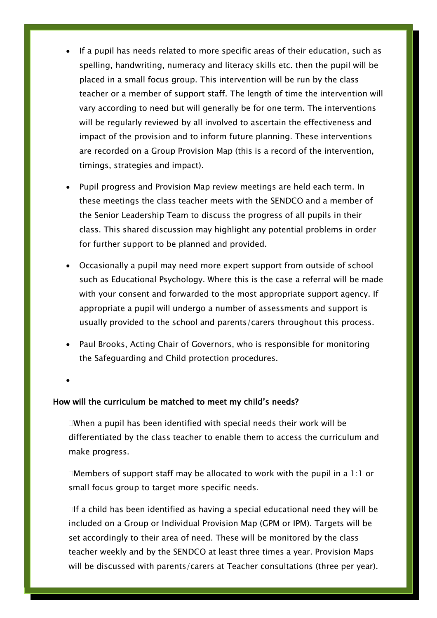- If a pupil has needs related to more specific areas of their education, such as spelling, handwriting, numeracy and literacy skills etc. then the pupil will be placed in a small focus group. This intervention will be run by the class teacher or a member of support staff. The length of time the intervention will vary according to need but will generally be for one term. The interventions will be regularly reviewed by all involved to ascertain the effectiveness and impact of the provision and to inform future planning. These interventions are recorded on a Group Provision Map (this is a record of the intervention, timings, strategies and impact).
- Pupil progress and Provision Map review meetings are held each term. In these meetings the class teacher meets with the SENDCO and a member of the Senior Leadership Team to discuss the progress of all pupils in their class. This shared discussion may highlight any potential problems in order for further support to be planned and provided.
- Occasionally a pupil may need more expert support from outside of school such as Educational Psychology. Where this is the case a referral will be made with your consent and forwarded to the most appropriate support agency. If appropriate a pupil will undergo a number of assessments and support is usually provided to the school and parents/carers throughout this process.
- Paul Brooks, Acting Chair of Governors, who is responsible for monitoring the Safeguarding and Child protection procedures.

 $\bullet$ 

#### How will the curriculum be matched to meet my child's needs?

 $\Box$ When a pupil has been identified with special needs their work will be differentiated by the class teacher to enable them to access the curriculum and make progress.

 $\Box$ Members of support staff may be allocated to work with the pupil in a 1:1 or small focus group to target more specific needs.

 $\Box$  If a child has been identified as having a special educational need they will be included on a Group or Individual Provision Map (GPM or IPM). Targets will be set accordingly to their area of need. These will be monitored by the class teacher weekly and by the SENDCO at least three times a year. Provision Maps will be discussed with parents/carers at Teacher consultations (three per year).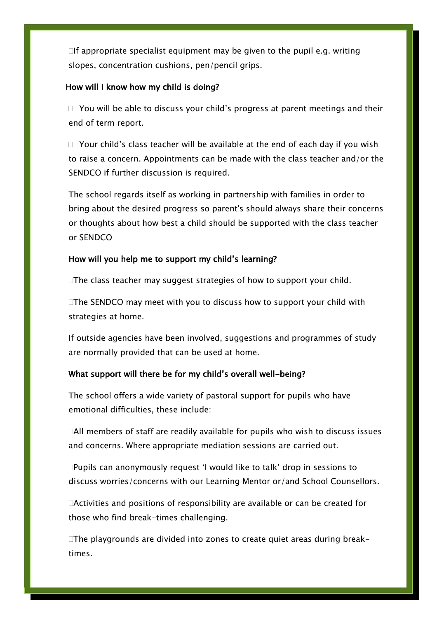$\Box$  If appropriate specialist equipment may be given to the pupil e.g. writing slopes, concentration cushions, pen/pencil grips.

#### How will I know how my child is doing?

 $\Box$  You will be able to discuss your child's progress at parent meetings and their end of term report.

 $\Box$  Your child's class teacher will be available at the end of each day if you wish to raise a concern. Appointments can be made with the class teacher and/or the SENDCO if further discussion is required.

The school regards itself as working in partnership with families in order to bring about the desired progress so parent's should always share their concerns or thoughts about how best a child should be supported with the class teacher or SENDCO

### How will you help me to support my child's learning?

□The class teacher may suggest strategies of how to support your child.

 $\Box$ The SENDCO may meet with you to discuss how to support your child with strategies at home.

If outside agencies have been involved, suggestions and programmes of study are normally provided that can be used at home.

# What support will there be for my child's overall well-being?

The school offers a wide variety of pastoral support for pupils who have emotional difficulties, these include:

 $\Box$ All members of staff are readily available for pupils who wish to discuss issues and concerns. Where appropriate mediation sessions are carried out.

Pupils can anonymously request 'I would like to talk' drop in sessions to discuss worries/concerns with our Learning Mentor or/and School Counsellors.

Activities and positions of responsibility are available or can be created for those who find break-times challenging.

 $\Box$ The playgrounds are divided into zones to create quiet areas during break– times.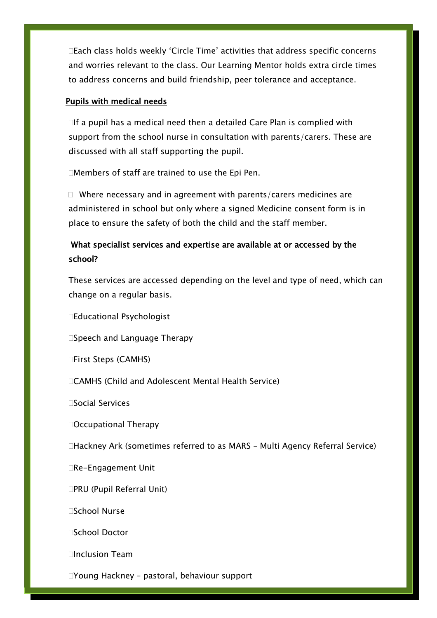Each class holds weekly 'Circle Time' activities that address specific concerns and worries relevant to the class. Our Learning Mentor holds extra circle times to address concerns and build friendship, peer tolerance and acceptance.

# Pupils with medical needs

 $\Box$  If a pupil has a medical need then a detailed Care Plan is complied with support from the school nurse in consultation with parents/carers. These are discussed with all staff supporting the pupil.

Members of staff are trained to use the Epi Pen.

 $\Box$  Where necessary and in agreement with parents/carers medicines are administered in school but only where a signed Medicine consent form is in place to ensure the safety of both the child and the staff member.

# What specialist services and expertise are available at or accessed by the school?

These services are accessed depending on the level and type of need, which can change on a regular basis.

Educational Psychologist

□Speech and Language Therapy

□First Steps (CAMHS)

CAMHS (Child and Adolescent Mental Health Service)

□Social Services

Occupational Therapy

Hackney Ark (sometimes referred to as MARS – Multi Agency Referral Service)

□Re-Engagement Unit

□PRU (Pupil Referral Unit)

School Nurse

□School Doctor

Inclusion Team

Young Hackney – pastoral, behaviour support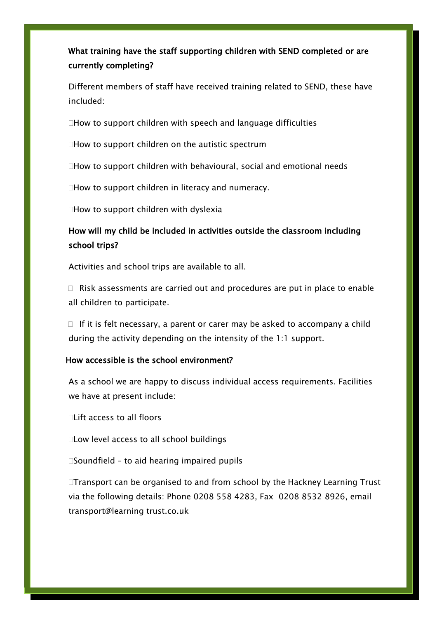# What training have the staff supporting children with SEND completed or are currently completing?

Different members of staff have received training related to SEND, these have included:

 $\Box$  How to support children with speech and language difficulties

 $\Box$  How to support children on the autistic spectrum

How to support children with behavioural, social and emotional needs

 $\Box$  How to support children in literacy and numeracy.

 $\Box$  How to support children with dyslexia

# How will my child be included in activities outside the classroom including school trips?

Activities and school trips are available to all.

 $\Box$  Risk assessments are carried out and procedures are put in place to enable all children to participate.

 $\Box$  If it is felt necessary, a parent or carer may be asked to accompany a child during the activity depending on the intensity of the 1:1 support.

# How accessible is the school environment?

As a school we are happy to discuss individual access requirements. Facilities we have at present include:

□Lift access to all floors

Ξ

Low level access to all school buildings

 $\square$ Soundfield - to aid hearing impaired pupils

□Transport can be organised to and from school by the Hackney Learning Trust via the following details: Phone 0208 558 4283, Fax 0208 8532 8926, email transport@learning trust.co.uk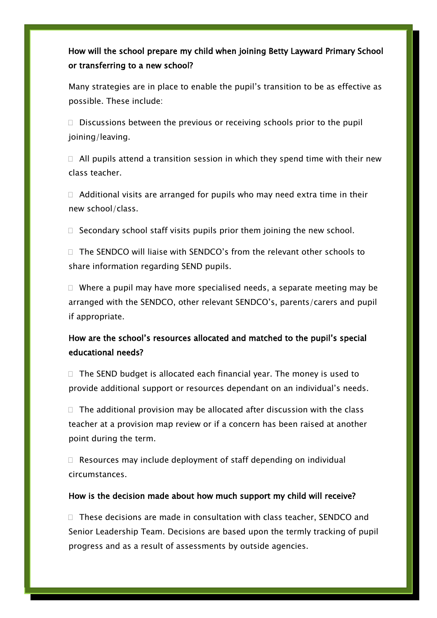# How will the school prepare my child when joining Betty Layward Primary School or transferring to a new school?

í

j

Many strategies are in place to enable the pupil's transition to be as effective as possible. These include:

 $\Box$  Discussions between the previous or receiving schools prior to the pupil joining/leaving.

 $\Box$  All pupils attend a transition session in which they spend time with their new class teacher.

 $\Box$  Additional visits are arranged for pupils who may need extra time in their new school/class.

 $\Box$  Secondary school staff visits pupils prior them joining the new school.

 $\Box$  The SENDCO will liaise with SENDCO's from the relevant other schools to share information regarding SEND pupils.

 $\Box$  Where a pupil may have more specialised needs, a separate meeting may be arranged with the SENDCO, other relevant SENDCO's, parents/carers and pupil if appropriate.

# How are the school's resources allocated and matched to the pupil's special educational needs?

 $\Box$  The SEND budget is allocated each financial year. The money is used to provide additional support or resources dependant on an individual's needs.

 $\Box$  The additional provision may be allocated after discussion with the class teacher at a provision map review or if a concern has been raised at another point during the term.

 $\Box$  Resources may include deployment of staff depending on individual circumstances.

# How is the decision made about how much support my child will receive?

 $\Box$  These decisions are made in consultation with class teacher, SENDCO and Senior Leadership Team. Decisions are based upon the termly tracking of pupil progress and as a result of assessments by outside agencies.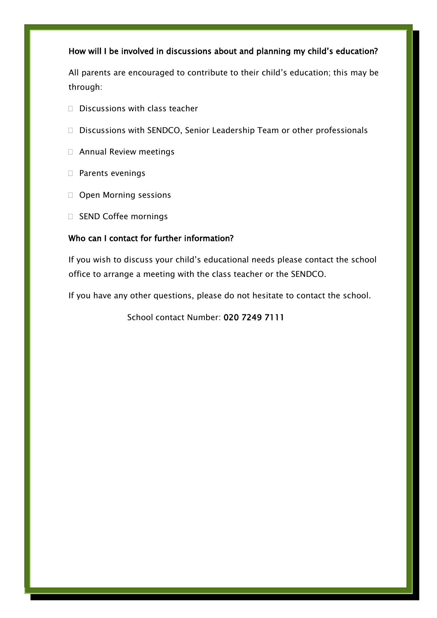# How will I be involved in discussions about and planning my child's education?

All parents are encouraged to contribute to their child's education; this may be through:

- $\Box$  Discussions with class teacher
- $\Box$  Discussions with SENDCO, Senior Leadership Team or other professionals
- Annual Review meetings
- □ Parents evenings

í

- Open Morning sessions
- □ SEND Coffee mornings

# Who can I contact for further information?

If you wish to discuss your child's educational needs please contact the school office to arrange a meeting with the class teacher or the SENDCO.

If you have any other questions, please do not hesitate to contact the school.

School contact Number: 020 7249 7111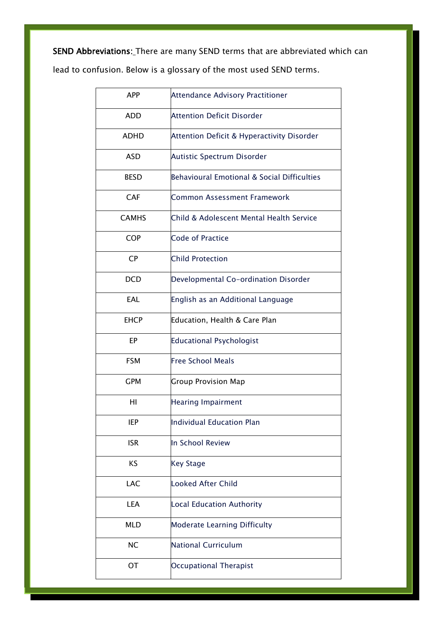SEND Abbreviations: There are many SEND terms that are abbreviated which can

lead to confusion. Below is a glossary of the most used SEND terms.

| <b>APP</b>   | <b>Attendance Advisory Practitioner</b>     |
|--------------|---------------------------------------------|
| <b>ADD</b>   | <b>Attention Deficit Disorder</b>           |
| ADHD         | Attention Deficit & Hyperactivity Disorder  |
| <b>ASD</b>   | Autistic Spectrum Disorder                  |
| <b>BESD</b>  | Behavioural Emotional & Social Difficulties |
| <b>CAF</b>   | <b>Common Assessment Framework</b>          |
| <b>CAMHS</b> | Child & Adolescent Mental Health Service    |
| <b>COP</b>   | <b>Code of Practice</b>                     |
| <b>CP</b>    | <b>Child Protection</b>                     |
| <b>DCD</b>   | Developmental Co-ordination Disorder        |
| EAL          | English as an Additional Language           |
| <b>EHCP</b>  | Education, Health & Care Plan               |
| EP           | <b>Educational Psychologist</b>             |
| <b>FSM</b>   | <b>Free School Meals</b>                    |
| <b>GPM</b>   | <b>Group Provision Map</b>                  |
| HI           | <b>Hearing Impairment</b>                   |
| <b>IEP</b>   | <b>Individual Education Plan</b>            |
| <b>ISR</b>   | In School Review                            |
| KS           | <b>Key Stage</b>                            |
| LAC          | <b>Looked After Child</b>                   |
| LEA          | <b>Local Education Authority</b>            |
| <b>MLD</b>   | <b>Moderate Learning Difficulty</b>         |
| <b>NC</b>    | <b>National Curriculum</b>                  |
| OT           | <b>Occupational Therapist</b>               |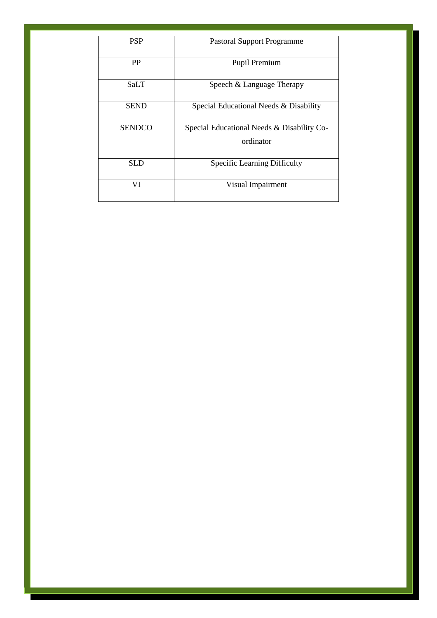| <b>PSP</b>    | <b>Pastoral Support Programme</b>          |
|---------------|--------------------------------------------|
| <b>PP</b>     | Pupil Premium                              |
| SaLT          | Speech & Language Therapy                  |
| <b>SEND</b>   | Special Educational Needs & Disability     |
| <b>SENDCO</b> | Special Educational Needs & Disability Co- |
|               | ordinator                                  |
| SLD           | <b>Specific Learning Difficulty</b>        |
| VI            | Visual Impairment                          |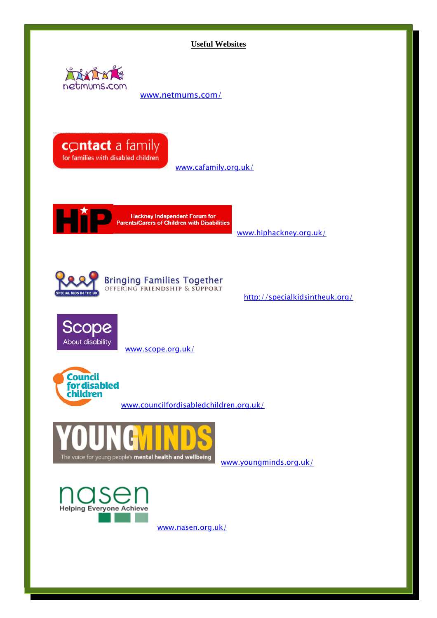**Useful Websites**



[www.netmums.com/](http://www.netmums.com/)



[www.cafamily.org.uk/](http://www.cafamily.org.uk/)



Hackney Independent Forum for<br>Parents/Carers of Children with Disabilities

[www.hiphackney.org.uk/](http://www.hiphackney.org.uk/)



<http://specialkidsintheuk.org/>



[www.scope.org.uk/](http://www.scope.org.uk/)



[www.councilfordisabledchildren.org.uk/](http://www.councilfordisabledchildren.org.uk/)



[www.youngminds.org.uk/](http://www.youngminds.org.uk/)



[www.nasen.org.uk/](http://www.nasen.org.uk/)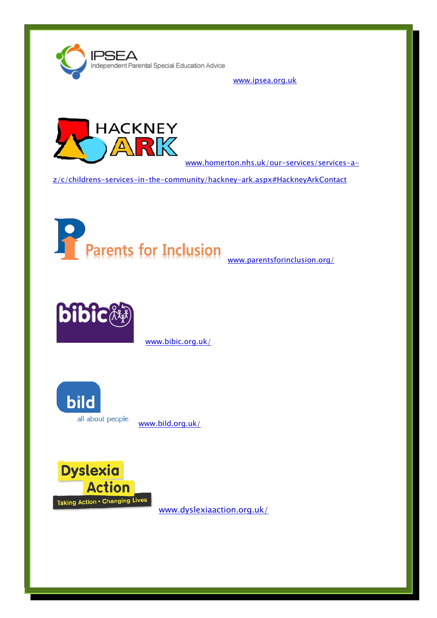

[www.ipsea.org.uk](http://www.ipsea.org.uk/)



[www.homerton.nhs.uk/our-services/services-a-](http://www.homerton.nhs.uk/our-services/services-a-z/c/childrens-services-in-the-community/hackney-ark.aspx#HackneyArkContact)

[z/c/childrens-services-in-the-community/hackney-ark.aspx#HackneyArkContact](http://www.homerton.nhs.uk/our-services/services-a-z/c/childrens-services-in-the-community/hackney-ark.aspx#HackneyArkContact)





[www.bibic.org.uk/](http://www.bibic.org.uk/)



[www.bild.org.uk/](http://www.bild.org.uk/)



[www.dyslexiaaction.org.uk/](http://www.dyslexiaaction.org.uk/)